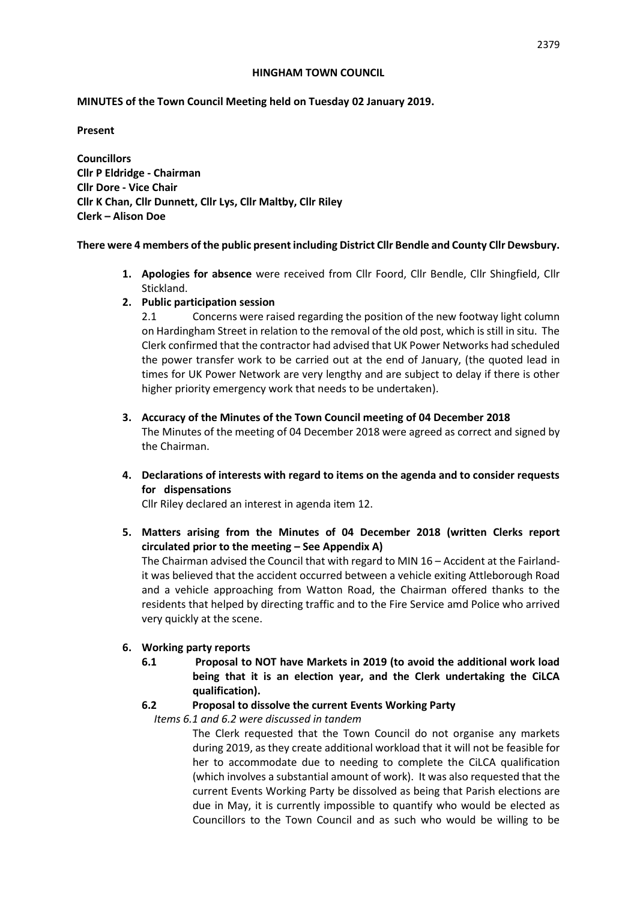#### **HINGHAM TOWN COUNCIL**

## **MINUTES of the Town Council Meeting held on Tuesday 02 January 2019.**

#### **Present**

**Councillors Cllr P Eldridge - Chairman Cllr Dore - Vice Chair Cllr K Chan, Cllr Dunnett, Cllr Lys, Cllr Maltby, Cllr Riley Clerk – Alison Doe** 

## **There were 4 members of the public present including District Cllr Bendle and County Cllr Dewsbury.**

- **1. Apologies for absence** were received from Cllr Foord, Cllr Bendle, Cllr Shingfield, Cllr Stickland.
- **2. Public participation session**

2.1 Concerns were raised regarding the position of the new footway light column on Hardingham Street in relation to the removal of the old post, which is still in situ. The Clerk confirmed that the contractor had advised that UK Power Networks had scheduled the power transfer work to be carried out at the end of January, (the quoted lead in times for UK Power Network are very lengthy and are subject to delay if there is other higher priority emergency work that needs to be undertaken).

- **3. Accuracy of the Minutes of the Town Council meeting of 04 December 2018** The Minutes of the meeting of 04 December 2018 were agreed as correct and signed by the Chairman.
- **4. Declarations of interests with regard to items on the agenda and to consider requests for dispensations**

Cllr Riley declared an interest in agenda item 12.

**5. Matters arising from the Minutes of 04 December 2018 (written Clerks report circulated prior to the meeting – See Appendix A)**

The Chairman advised the Council that with regard to MIN 16 – Accident at the Fairlandit was believed that the accident occurred between a vehicle exiting Attleborough Road and a vehicle approaching from Watton Road, the Chairman offered thanks to the residents that helped by directing traffic and to the Fire Service amd Police who arrived very quickly at the scene.

## **6. Working party reports**

**6.1 Proposal to NOT have Markets in 2019 (to avoid the additional work load being that it is an election year, and the Clerk undertaking the CiLCA qualification).**

## **6.2 Proposal to dissolve the current Events Working Party**

*Items 6.1 and 6.2 were discussed in tandem*

The Clerk requested that the Town Council do not organise any markets during 2019, as they create additional workload that it will not be feasible for her to accommodate due to needing to complete the CiLCA qualification (which involves a substantial amount of work). It was also requested that the current Events Working Party be dissolved as being that Parish elections are due in May, it is currently impossible to quantify who would be elected as Councillors to the Town Council and as such who would be willing to be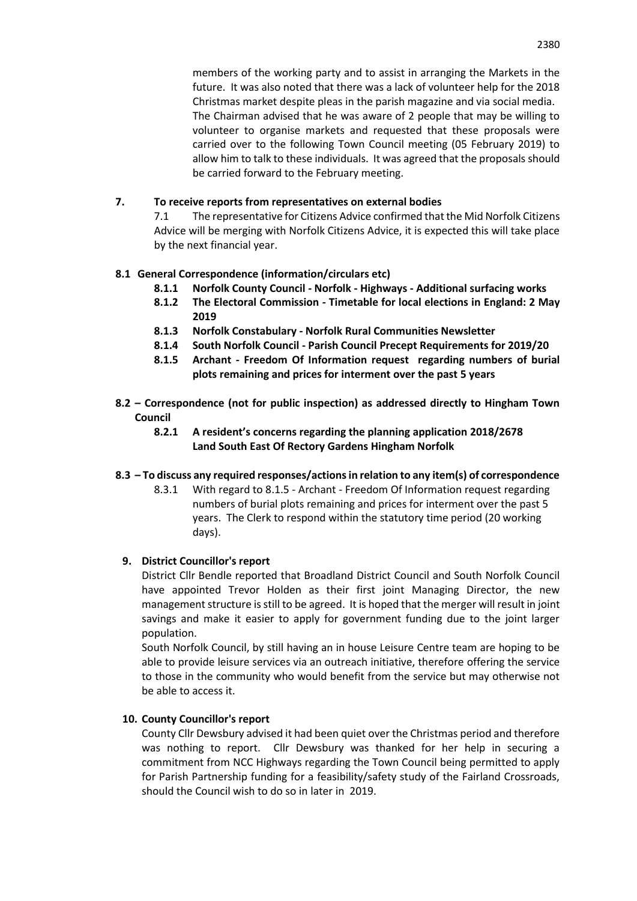members of the working party and to assist in arranging the Markets in the future. It was also noted that there was a lack of volunteer help for the 2018 Christmas market despite pleas in the parish magazine and via social media. The Chairman advised that he was aware of 2 people that may be willing to volunteer to organise markets and requested that these proposals were carried over to the following Town Council meeting (05 February 2019) to allow him to talk to these individuals. It was agreed that the proposals should be carried forward to the February meeting.

## **7. To receive reports from representatives on external bodies**

7.1 The representative for Citizens Advice confirmed that the Mid Norfolk Citizens Advice will be merging with Norfolk Citizens Advice, it is expected this will take place by the next financial year.

## **8.1 General Correspondence (information/circulars etc)**

- **8.1.1 Norfolk County Council - Norfolk - Highways - Additional surfacing works**
- **8.1.2 The Electoral Commission - Timetable for local elections in England: 2 May 2019**
- **8.1.3 Norfolk Constabulary - Norfolk Rural Communities Newsletter**
- **8.1.4 South Norfolk Council - Parish Council Precept Requirements for 2019/20**
- **8.1.5 Archant - Freedom Of Information request regarding numbers of burial plots remaining and prices for interment over the past 5 years**
- **8.2 – Correspondence (not for public inspection) as addressed directly to Hingham Town Council**
	- **8.2.1 A resident's concerns regarding the planning application 2018/2678 Land South East Of Rectory Gardens Hingham Norfolk**

## **8.3 – To discuss any required responses/actions in relation to any item(s) of correspondence**

8.3.1 With regard to 8.1.5 - Archant - Freedom Of Information request regarding numbers of burial plots remaining and prices for interment over the past 5 years. The Clerk to respond within the statutory time period (20 working days).

## **9. District Councillor's report**

District Cllr Bendle reported that Broadland District Council and South Norfolk Council have appointed Trevor Holden as their first joint Managing Director, the new management structure is still to be agreed. It is hoped that the merger will result in joint savings and make it easier to apply for government funding due to the joint larger population.

South Norfolk Council, by still having an in house Leisure Centre team are hoping to be able to provide leisure services via an outreach initiative, therefore offering the service to those in the community who would benefit from the service but may otherwise not be able to access it.

## **10. County Councillor's report**

County Cllr Dewsbury advised it had been quiet over the Christmas period and therefore was nothing to report. Cllr Dewsbury was thanked for her help in securing a commitment from NCC Highways regarding the Town Council being permitted to apply for Parish Partnership funding for a feasibility/safety study of the Fairland Crossroads, should the Council wish to do so in later in 2019.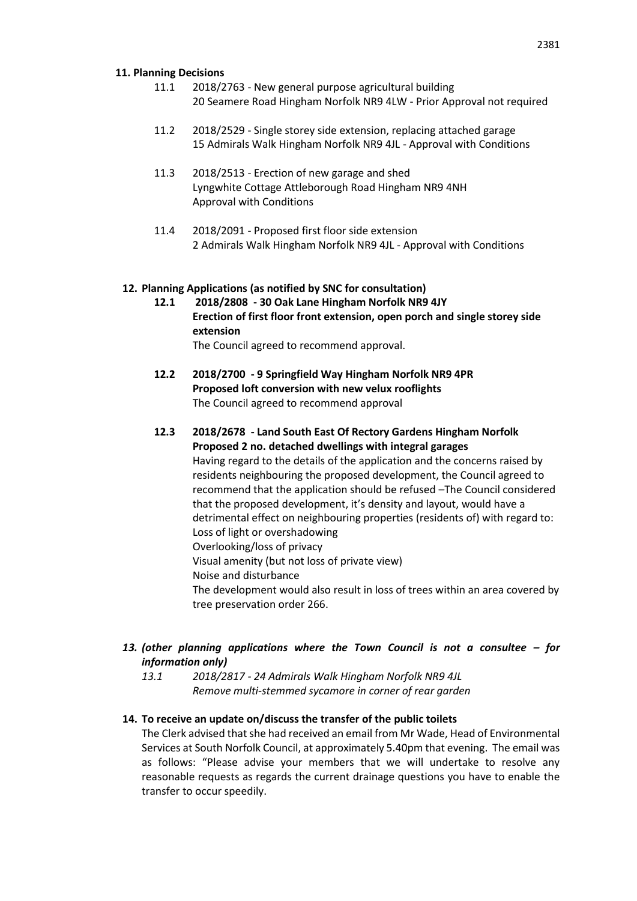#### **11. Planning Decisions**

- 11.1 2018/2763 New general purpose agricultural building 20 Seamere Road Hingham Norfolk NR9 4LW - Prior Approval not required
- 11.2 2018/2529 Single storey side extension, replacing attached garage 15 Admirals Walk Hingham Norfolk NR9 4JL - Approval with Conditions
- 11.3 2018/2513 Erection of new garage and shed Lyngwhite Cottage Attleborough Road Hingham NR9 4NH Approval with Conditions
- 11.4 2018/2091 Proposed first floor side extension 2 Admirals Walk Hingham Norfolk NR9 4JL - Approval with Conditions

#### **12. Planning Applications (as notified by SNC for consultation)**

**12.1 2018/2808 - 30 Oak Lane Hingham Norfolk NR9 4JY Erection of first floor front extension, open porch and single storey side extension** 

The Council agreed to recommend approval.

- **12.2 2018/2700 - 9 Springfield Way Hingham Norfolk NR9 4PR Proposed loft conversion with new velux rooflights**  The Council agreed to recommend approval
- **12.3 2018/2678 - Land South East Of Rectory Gardens Hingham Norfolk Proposed 2 no. detached dwellings with integral garages**  Having regard to the details of the application and the concerns raised by residents neighbouring the proposed development, the Council agreed to recommend that the application should be refused –The Council considered that the proposed development, it's density and layout, would have a detrimental effect on neighbouring properties (residents of) with regard to: Loss of light or overshadowing Overlooking/loss of privacy Visual amenity (but not loss of private view) Noise and disturbance The development would also result in loss of trees within an area covered by tree preservation order 266.
- *13. (other planning applications where the Town Council is not a consultee – for information only)*
	- *13.1 2018/2817 - 24 Admirals Walk Hingham Norfolk NR9 4JL Remove multi-stemmed sycamore in corner of rear garden*

#### **14. To receive an update on/discuss the transfer of the public toilets**

The Clerk advised that she had received an email from Mr Wade, Head of Environmental Services at South Norfolk Council, at approximately 5.40pm that evening. The email was as follows: "Please advise your members that we will undertake to resolve any reasonable requests as regards the current drainage questions you have to enable the transfer to occur speedily.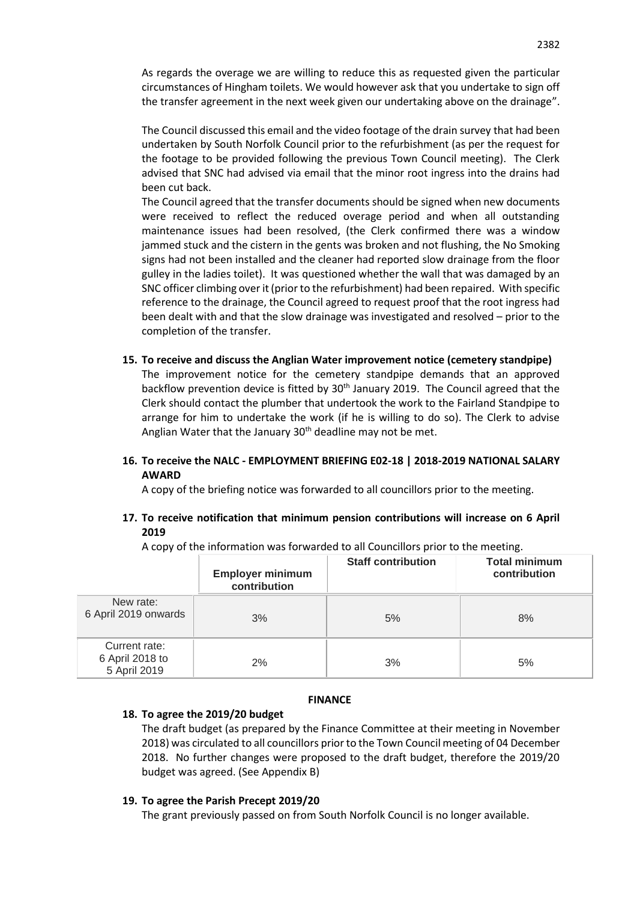As regards the overage we are willing to reduce this as requested given the particular circumstances of Hingham toilets. We would however ask that you undertake to sign off the transfer agreement in the next week given our undertaking above on the drainage".

The Council discussed this email and the video footage of the drain survey that had been undertaken by South Norfolk Council prior to the refurbishment (as per the request for the footage to be provided following the previous Town Council meeting). The Clerk advised that SNC had advised via email that the minor root ingress into the drains had been cut back.

The Council agreed that the transfer documents should be signed when new documents were received to reflect the reduced overage period and when all outstanding maintenance issues had been resolved, (the Clerk confirmed there was a window jammed stuck and the cistern in the gents was broken and not flushing, the No Smoking signs had not been installed and the cleaner had reported slow drainage from the floor gulley in the ladies toilet). It was questioned whether the wall that was damaged by an SNC officer climbing over it (prior to the refurbishment) had been repaired. With specific reference to the drainage, the Council agreed to request proof that the root ingress had been dealt with and that the slow drainage was investigated and resolved – prior to the completion of the transfer.

**15. To receive and discuss the Anglian Water improvement notice (cemetery standpipe)** The improvement notice for the cemetery standpipe demands that an approved backflow prevention device is fitted by  $30<sup>th</sup>$  January 2019. The Council agreed that the Clerk should contact the plumber that undertook the work to the Fairland Standpipe to arrange for him to undertake the work (if he is willing to do so). The Clerk to advise Anglian Water that the January  $30<sup>th</sup>$  deadline may not be met.

## **16. To receive the NALC - EMPLOYMENT BRIEFING E02-18 | 2018-2019 NATIONAL SALARY AWARD**

A copy of the briefing notice was forwarded to all councillors prior to the meeting.

## **17. To receive notification that minimum pension contributions will increase on 6 April 2019**

A copy of the information was forwarded to all Councillors prior to the meeting.

|                                                  | <b>Employer minimum</b><br>contribution | <b>Staff contribution</b> | <b>Total minimum</b><br>contribution |
|--------------------------------------------------|-----------------------------------------|---------------------------|--------------------------------------|
| New rate:<br>6 April 2019 onwards                | 3%                                      | 5%                        | 8%                                   |
| Current rate:<br>6 April 2018 to<br>5 April 2019 | 2%                                      | 3%                        | 5%                                   |

## **FINANCE**

## **18. To agree the 2019/20 budget**

The draft budget (as prepared by the Finance Committee at their meeting in November 2018) was circulated to all councillors prior to the Town Council meeting of 04 December 2018. No further changes were proposed to the draft budget, therefore the 2019/20 budget was agreed. (See Appendix B)

## **19. To agree the Parish Precept 2019/20**

The grant previously passed on from South Norfolk Council is no longer available.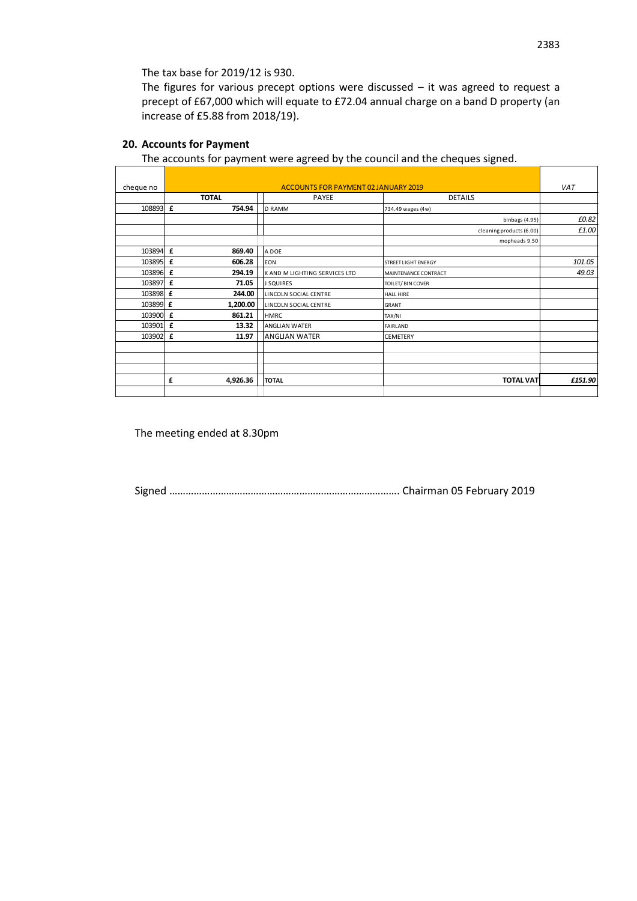The tax base for 2019/12 is 930.

The figures for various precept options were discussed – it was agreed to request a precept of £67,000 which will equate to £72.04 annual charge on a band D property (an increase of £5.88 from 2018/19).

## **20. Accounts for Payment**

The accounts for payment were agreed by the council and the cheques signed.

| cheque no | <b>ACCOUNTS FOR PAYMENT 02 JANUARY 2019</b>      |                                         |                            | VAT     |
|-----------|--------------------------------------------------|-----------------------------------------|----------------------------|---------|
|           | <b>TOTAL</b>                                     | <b>PAYEE</b>                            | <b>DETAILS</b>             |         |
| 108893 £  | 754.94                                           | <b>D RAMM</b>                           | 734.49 wages (4w)          |         |
|           |                                                  |                                         | binbags (4.95)             | £0.82   |
|           |                                                  |                                         | cleaning products (6.00)   | £1.00   |
|           |                                                  |                                         | mopheads 9.50              |         |
| 103894 £  | 869.40                                           | A DOE                                   |                            |         |
| 103895 £  | 606.28                                           | <b>EON</b>                              | <b>STREET LIGHT ENERGY</b> | 101.05  |
| 103896 £  | 294.19                                           | K AND M LIGHTING SERVICES LTD           | MAINTENANCE CONTRACT       | 49.03   |
| 103897    | £<br>71.05                                       | <b>J SQUIRES</b>                        | TOILET/ BIN COVER          |         |
| 103898 £  | 244.00                                           | LINCOLN SOCIAL CENTRE                   | <b>HALL HIRE</b>           |         |
| 103899 £  | 1,200.00                                         | LINCOLN SOCIAL CENTRE                   | GRANT                      |         |
| 103900 £  | 861.21                                           | <b>HMRC</b>                             | TAX/NI                     |         |
| 103901    | £<br>13.32                                       | <b>ANGLIAN WATER</b><br><b>FAIRLAND</b> |                            |         |
| 103902 £  | 11.97<br><b>ANGLIAN WATER</b><br><b>CEMETERY</b> |                                         |                            |         |
|           |                                                  |                                         |                            |         |
|           |                                                  |                                         |                            |         |
|           |                                                  |                                         |                            |         |
|           | £<br>4,926.36                                    | <b>TOTAL</b>                            | <b>TOTAL VAT</b>           | £151.90 |
|           |                                                  |                                         |                            |         |

The meeting ended at 8.30pm

Signed …………………………………………………………………………. Chairman 05 February 2019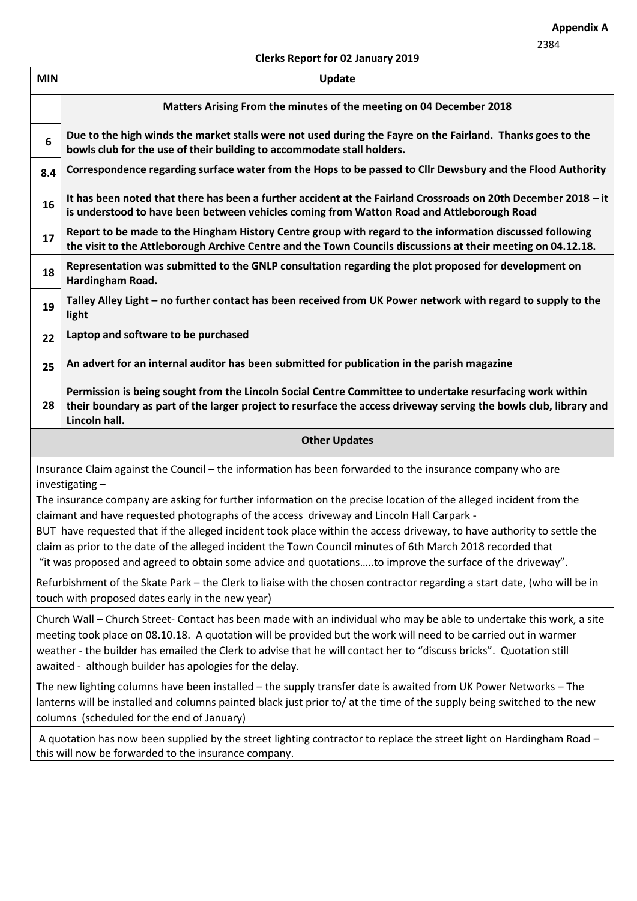## **Clerks Report for 02 January 2019**

| <b>MIN</b>                                                                                                                                                                                                                                                                                                                                        | Update                                                                                                                                                                                                                                                                                                                                                                                                                    |  |
|---------------------------------------------------------------------------------------------------------------------------------------------------------------------------------------------------------------------------------------------------------------------------------------------------------------------------------------------------|---------------------------------------------------------------------------------------------------------------------------------------------------------------------------------------------------------------------------------------------------------------------------------------------------------------------------------------------------------------------------------------------------------------------------|--|
|                                                                                                                                                                                                                                                                                                                                                   | Matters Arising From the minutes of the meeting on 04 December 2018                                                                                                                                                                                                                                                                                                                                                       |  |
| 6                                                                                                                                                                                                                                                                                                                                                 | Due to the high winds the market stalls were not used during the Fayre on the Fairland. Thanks goes to the<br>bowls club for the use of their building to accommodate stall holders.                                                                                                                                                                                                                                      |  |
| 8.4                                                                                                                                                                                                                                                                                                                                               | Correspondence regarding surface water from the Hops to be passed to Cllr Dewsbury and the Flood Authority                                                                                                                                                                                                                                                                                                                |  |
| 16                                                                                                                                                                                                                                                                                                                                                | It has been noted that there has been a further accident at the Fairland Crossroads on 20th December 2018 - it<br>is understood to have been between vehicles coming from Watton Road and Attleborough Road                                                                                                                                                                                                               |  |
| 17                                                                                                                                                                                                                                                                                                                                                | Report to be made to the Hingham History Centre group with regard to the information discussed following<br>the visit to the Attleborough Archive Centre and the Town Councils discussions at their meeting on 04.12.18.                                                                                                                                                                                                  |  |
| 18                                                                                                                                                                                                                                                                                                                                                | Representation was submitted to the GNLP consultation regarding the plot proposed for development on<br>Hardingham Road.                                                                                                                                                                                                                                                                                                  |  |
| 19                                                                                                                                                                                                                                                                                                                                                | Talley Alley Light - no further contact has been received from UK Power network with regard to supply to the<br>light                                                                                                                                                                                                                                                                                                     |  |
| 22                                                                                                                                                                                                                                                                                                                                                | Laptop and software to be purchased                                                                                                                                                                                                                                                                                                                                                                                       |  |
| 25                                                                                                                                                                                                                                                                                                                                                | An advert for an internal auditor has been submitted for publication in the parish magazine                                                                                                                                                                                                                                                                                                                               |  |
| 28                                                                                                                                                                                                                                                                                                                                                | Permission is being sought from the Lincoln Social Centre Committee to undertake resurfacing work within<br>their boundary as part of the larger project to resurface the access driveway serving the bowls club, library and<br>Lincoln hall.                                                                                                                                                                            |  |
|                                                                                                                                                                                                                                                                                                                                                   | <b>Other Updates</b>                                                                                                                                                                                                                                                                                                                                                                                                      |  |
|                                                                                                                                                                                                                                                                                                                                                   | Insurance Claim against the Council – the information has been forwarded to the insurance company who are                                                                                                                                                                                                                                                                                                                 |  |
| investigating-<br>The insurance company are asking for further information on the precise location of the alleged incident from the<br>claimant and have requested photographs of the access driveway and Lincoln Hall Carpark -                                                                                                                  |                                                                                                                                                                                                                                                                                                                                                                                                                           |  |
| BUT have requested that if the alleged incident took place within the access driveway, to have authority to settle the<br>claim as prior to the date of the alleged incident the Town Council minutes of 6th March 2018 recorded that<br>"it was proposed and agreed to obtain some advice and quotationsto improve the surface of the driveway". |                                                                                                                                                                                                                                                                                                                                                                                                                           |  |
| Refurbishment of the Skate Park - the Clerk to liaise with the chosen contractor regarding a start date, (who will be in<br>touch with proposed dates early in the new year)                                                                                                                                                                      |                                                                                                                                                                                                                                                                                                                                                                                                                           |  |
|                                                                                                                                                                                                                                                                                                                                                   |                                                                                                                                                                                                                                                                                                                                                                                                                           |  |
|                                                                                                                                                                                                                                                                                                                                                   | Church Wall - Church Street- Contact has been made with an individual who may be able to undertake this work, a site<br>meeting took place on 08.10.18. A quotation will be provided but the work will need to be carried out in warmer<br>weather - the builder has emailed the Clerk to advise that he will contact her to "discuss bricks". Quotation still<br>awaited - although builder has apologies for the delay. |  |
|                                                                                                                                                                                                                                                                                                                                                   | The new lighting columns have been installed - the supply transfer date is awaited from UK Power Networks - The<br>lanterns will be installed and columns painted black just prior to/ at the time of the supply being switched to the new<br>columns (scheduled for the end of January)                                                                                                                                  |  |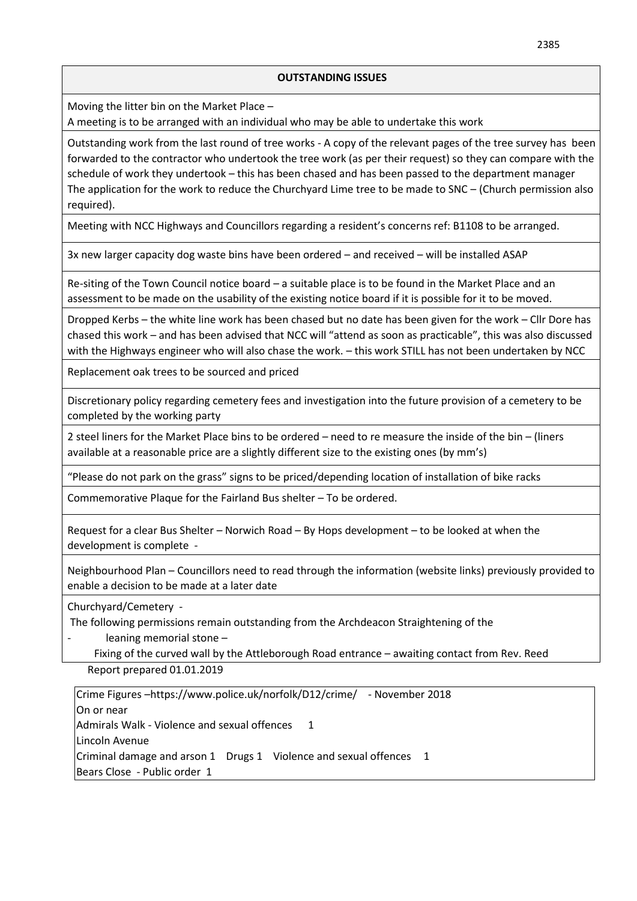#### **OUTSTANDING ISSUES**

Moving the litter bin on the Market Place –

A meeting is to be arranged with an individual who may be able to undertake this work

Outstanding work from the last round of tree works - A copy of the relevant pages of the tree survey has been forwarded to the contractor who undertook the tree work (as per their request) so they can compare with the schedule of work they undertook – this has been chased and has been passed to the department manager The application for the work to reduce the Churchyard Lime tree to be made to SNC – (Church permission also required).

Meeting with NCC Highways and Councillors regarding a resident's concerns ref: B1108 to be arranged.

3x new larger capacity dog waste bins have been ordered – and received – will be installed ASAP

Re-siting of the Town Council notice board – a suitable place is to be found in the Market Place and an assessment to be made on the usability of the existing notice board if it is possible for it to be moved.

Dropped Kerbs – the white line work has been chased but no date has been given for the work – Cllr Dore has chased this work – and has been advised that NCC will "attend as soon as practicable", this was also discussed with the Highways engineer who will also chase the work. – this work STILL has not been undertaken by NCC

Replacement oak trees to be sourced and priced

Discretionary policy regarding cemetery fees and investigation into the future provision of a cemetery to be completed by the working party

2 steel liners for the Market Place bins to be ordered – need to re measure the inside of the bin – (liners available at a reasonable price are a slightly different size to the existing ones (by mm's)

"Please do not park on the grass" signs to be priced/depending location of installation of bike racks

Commemorative Plaque for the Fairland Bus shelter – To be ordered.

Request for a clear Bus Shelter – Norwich Road – By Hops development – to be looked at when the development is complete -

Neighbourhood Plan – Councillors need to read through the information (website links) previously provided to enable a decision to be made at a later date

Churchyard/Cemetery -

The following permissions remain outstanding from the Archdeacon Straightening of the

leaning memorial stone -

Fixing of the curved wall by the Attleborough Road entrance – awaiting contact from Rev. Reed

Report prepared 01.01.2019

Crime Figures –https://www.police.uk/norfolk/D12/crime/ - November 2018 On or near Admirals Walk - Violence and sexual offences 1 Lincoln Avenue Criminal damage and arson 1 Drugs 1 Violence and sexual offences 1 Bears Close - Public order 1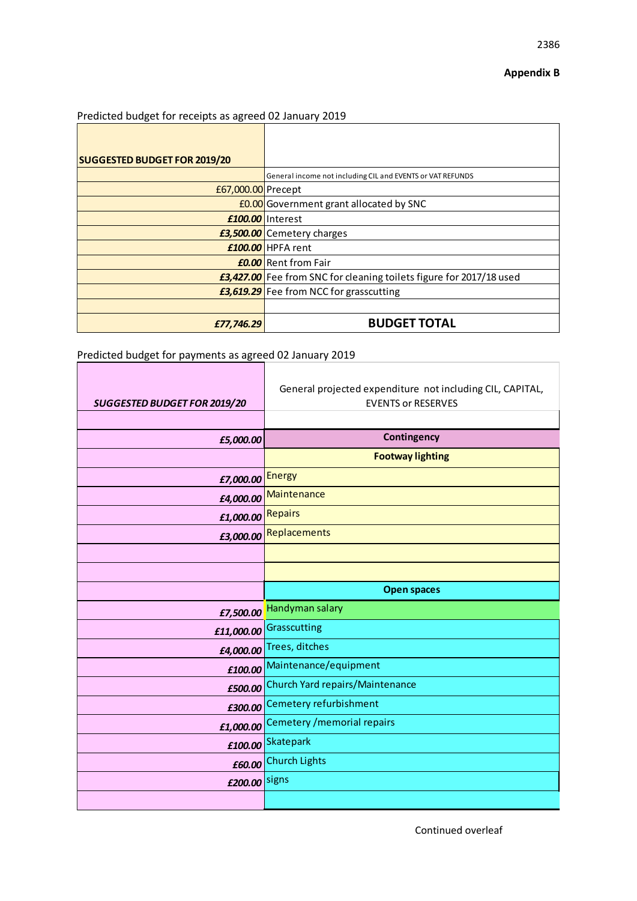2386

٦

## Predicted budget for receipts as agreed 02 January 2019

| <b>SUGGESTED BUDGET FOR 2019/20</b> |                                                                            |
|-------------------------------------|----------------------------------------------------------------------------|
|                                     | General income not including CIL and EVENTS or VAT REFUNDS                 |
| £67,000.00 Precept                  |                                                                            |
|                                     | <b>£0.00</b> Government grant allocated by SNC                             |
|                                     | £100.00 Interest                                                           |
|                                     | <b>£3,500.00</b> Cemetery charges                                          |
|                                     | £100.00 HPFA rent                                                          |
|                                     | <b>£0.00</b> Rent from Fair                                                |
|                                     | <b>£3,427.00</b> Fee from SNC for cleaning toilets figure for 2017/18 used |
|                                     | <b>£3,619.29</b> Fee from NCC for grasscutting                             |
|                                     |                                                                            |
| £77,746.29                          | <b>BUDGET TOTAL</b>                                                        |

# Predicted budget for payments as agreed 02 January 2019

| <b>SUGGESTED BUDGET FOR 2019/20</b> | General projected expenditure not including CIL, CAPITAL,<br><b>EVENTS or RESERVES</b> |
|-------------------------------------|----------------------------------------------------------------------------------------|
|                                     |                                                                                        |
| £5,000.00                           | <b>Contingency</b>                                                                     |
|                                     | <b>Footway lighting</b>                                                                |
| £7,000.00                           | <b>Energy</b>                                                                          |
| £4,000.00                           | Maintenance                                                                            |
| <b>Repairs</b><br>£1,000.00         |                                                                                        |
| £3,000.00                           | Replacements                                                                           |
|                                     |                                                                                        |
|                                     |                                                                                        |
|                                     | <b>Open spaces</b>                                                                     |
|                                     | £7,500.00 Handyman salary                                                              |
| £11,000.00                          | Grasscutting                                                                           |
| £4,000.00                           | Trees, ditches                                                                         |
| £100.00                             | Maintenance/equipment                                                                  |
| £500.00                             | Church Yard repairs/Maintenance                                                        |
| £300.00                             | Cemetery refurbishment                                                                 |
| £1,000.00                           | Cemetery / memorial repairs                                                            |
| £100.00                             | Skatepark                                                                              |
| £60.00                              | <b>Church Lights</b>                                                                   |
| £200.00 signs                       |                                                                                        |
|                                     |                                                                                        |